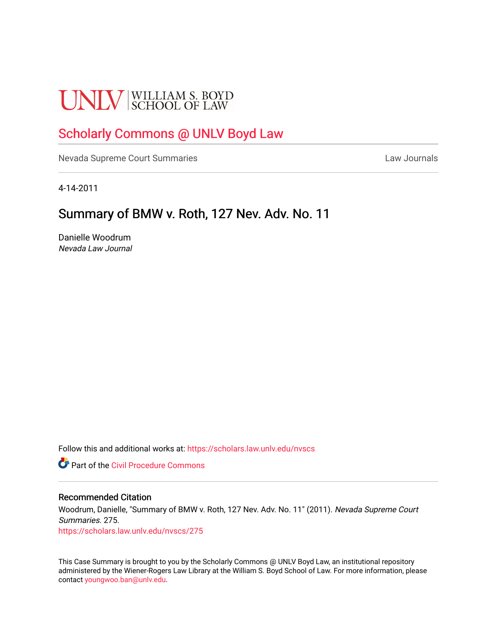# **UNLV** SCHOOL OF LAW

# [Scholarly Commons @ UNLV Boyd Law](https://scholars.law.unlv.edu/)

[Nevada Supreme Court Summaries](https://scholars.law.unlv.edu/nvscs) **Law Journals** Law Journals

4-14-2011

# Summary of BMW v. Roth, 127 Nev. Adv. No. 11

Danielle Woodrum Nevada Law Journal

Follow this and additional works at: [https://scholars.law.unlv.edu/nvscs](https://scholars.law.unlv.edu/nvscs?utm_source=scholars.law.unlv.edu%2Fnvscs%2F275&utm_medium=PDF&utm_campaign=PDFCoverPages)

**C** Part of the Civil Procedure Commons

## Recommended Citation

Woodrum, Danielle, "Summary of BMW v. Roth, 127 Nev. Adv. No. 11" (2011). Nevada Supreme Court Summaries. 275.

[https://scholars.law.unlv.edu/nvscs/275](https://scholars.law.unlv.edu/nvscs/275?utm_source=scholars.law.unlv.edu%2Fnvscs%2F275&utm_medium=PDF&utm_campaign=PDFCoverPages)

This Case Summary is brought to you by the Scholarly Commons @ UNLV Boyd Law, an institutional repository administered by the Wiener-Rogers Law Library at the William S. Boyd School of Law. For more information, please contact [youngwoo.ban@unlv.edu](mailto:youngwoo.ban@unlv.edu).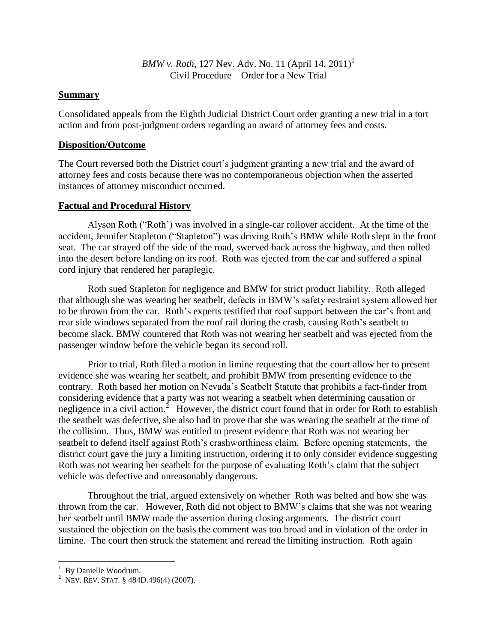*BMW v. Roth*, 127 Nev. Adv. No. 11 (April 14, 2011)<sup>1</sup> Civil Procedure – Order for a New Trial

# **Summary**

Consolidated appeals from the Eighth Judicial District Court order granting a new trial in a tort action and from post-judgment orders regarding an award of attorney fees and costs.

# **Disposition/Outcome**

The Court reversed both the District court's judgment granting a new trial and the award of attorney fees and costs because there was no contemporaneous objection when the asserted instances of attorney misconduct occurred.

# **Factual and Procedural History**

Alyson Roth ("Roth') was involved in a single-car rollover accident. At the time of the accident, Jennifer Stapleton ("Stapleton") was driving Roth's BMW while Roth slept in the front seat. The car strayed off the side of the road, swerved back across the highway, and then rolled into the desert before landing on its roof. Roth was ejected from the car and suffered a spinal cord injury that rendered her paraplegic.

Roth sued Stapleton for negligence and BMW for strict product liability. Roth alleged that although she was wearing her seatbelt, defects in BMW's safety restraint system allowed her to be thrown from the car. Roth's experts testified that roof support between the car's front and rear side windows separated from the roof rail during the crash, causing Roth's seatbelt to become slack. BMW countered that Roth was not wearing her seatbelt and was ejected from the passenger window before the vehicle began its second roll.

Prior to trial, Roth filed a motion in limine requesting that the court allow her to present evidence she was wearing her seatbelt, and prohibit BMW from presenting evidence to the contrary. Roth based her motion on Nevada's Seatbelt Statute that prohibits a fact-finder from considering evidence that a party was not wearing a seatbelt when determining causation or negligence in a civil action.<sup>2</sup> However, the district court found that in order for Roth to establish the seatbelt was defective, she also had to prove that she was wearing the seatbelt at the time of the collision. Thus, BMW was entitled to present evidence that Roth was not wearing her seatbelt to defend itself against Roth's crashworthiness claim. Before opening statements, the district court gave the jury a limiting instruction, ordering it to only consider evidence suggesting Roth was not wearing her seatbelt for the purpose of evaluating Roth's claim that the subject vehicle was defective and unreasonably dangerous.

Throughout the trial, argued extensively on whether Roth was belted and how she was thrown from the car. However, Roth did not object to BMW's claims that she was not wearing her seatbelt until BMW made the assertion during closing arguments. The district court sustained the objection on the basis the comment was too broad and in violation of the order in limine. The court then struck the statement and reread the limiting instruction. Roth again

 $\overline{\phantom{a}}$ <sup>1</sup> By Danielle Woodrum.

<sup>&</sup>lt;sup>2</sup> Nev. Rev. Stat. § 484D.496(4) (2007).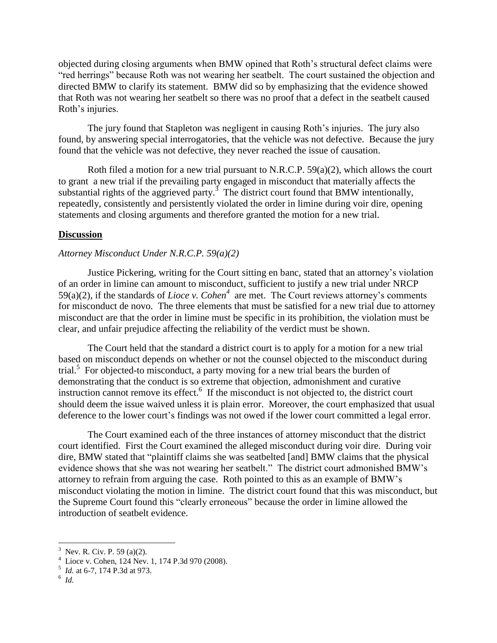objected during closing arguments when BMW opined that Roth's structural defect claims were "red herrings" because Roth was not wearing her seatbelt. The court sustained the objection and directed BMW to clarify its statement. BMW did so by emphasizing that the evidence showed that Roth was not wearing her seatbelt so there was no proof that a defect in the seatbelt caused Roth's injuries.

The jury found that Stapleton was negligent in causing Roth's injuries. The jury also found, by answering special interrogatories, that the vehicle was not defective. Because the jury found that the vehicle was not defective, they never reached the issue of causation.

Roth filed a motion for a new trial pursuant to N.R.C.P. 59(a)(2), which allows the court to grant a new trial if the prevailing party engaged in misconduct that materially affects the substantial rights of the aggrieved party.<sup>3</sup> The district court found that BMW intentionally, repeatedly, consistently and persistently violated the order in limine during voir dire, opening statements and closing arguments and therefore granted the motion for a new trial.

## **Discussion**

## *Attorney Misconduct Under N.R.C.P. 59(a)(2)*

Justice Pickering, writing for the Court sitting en banc, stated that an attorney's violation of an order in limine can amount to misconduct, sufficient to justify a new trial under NRCP 59(a)(2), if the standards of *Lioce v. Cohen*<sup>4</sup> are met. The Court reviews attorney's comments for misconduct de novo. The three elements that must be satisfied for a new trial due to attorney misconduct are that the order in limine must be specific in its prohibition, the violation must be clear, and unfair prejudice affecting the reliability of the verdict must be shown.

The Court held that the standard a district court is to apply for a motion for a new trial based on misconduct depends on whether or not the counsel objected to the misconduct during trial.<sup>5</sup> For objected-to misconduct, a party moving for a new trial bears the burden of demonstrating that the conduct is so extreme that objection, admonishment and curative instruction cannot remove its effect. $<sup>6</sup>$  If the misconduct is not objected to, the district court</sup> should deem the issue waived unless it is plain error. Moreover, the court emphasized that usual deference to the lower court's findings was not owed if the lower court committed a legal error.

The Court examined each of the three instances of attorney misconduct that the district court identified. First the Court examined the alleged misconduct during voir dire. During voir dire, BMW stated that "plaintiff claims she was seatbelted [and] BMW claims that the physical evidence shows that she was not wearing her seatbelt." The district court admonished BMW's attorney to refrain from arguing the case. Roth pointed to this as an example of BMW's misconduct violating the motion in limine. The district court found that this was misconduct, but the Supreme Court found this "clearly erroneous" because the order in limine allowed the introduction of seatbelt evidence.

 $\overline{\phantom{a}}$ 

<sup>&</sup>lt;sup>3</sup> Nev. R. Civ. P. 59 (a)(2).

 $4$  Lioce v. Cohen, 124 Nev. 1, 174 P.3d 970 (2008).

<sup>5</sup> *Id.* at 6-7, 174 P.3d at 973.

<sup>6</sup> *Id.*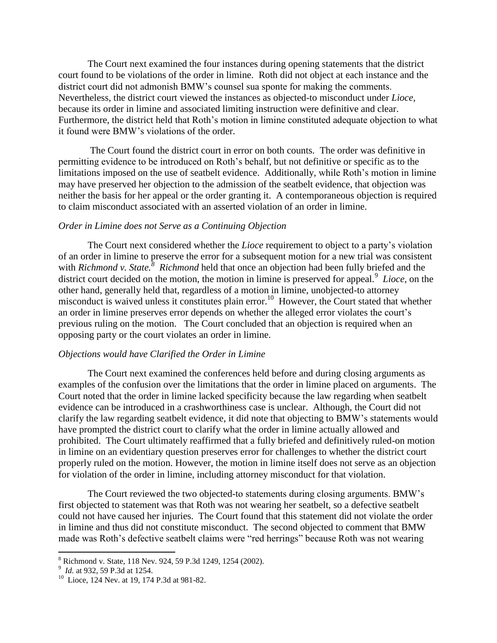The Court next examined the four instances during opening statements that the district court found to be violations of the order in limine. Roth did not object at each instance and the district court did not admonish BMW's counsel sua sponte for making the comments. Nevertheless, the district court viewed the instances as objected-to misconduct under *Lioce*, because its order in limine and associated limiting instruction were definitive and clear. Furthermore, the district held that Roth's motion in limine constituted adequate objection to what it found were BMW's violations of the order.

The Court found the district court in error on both counts. The order was definitive in permitting evidence to be introduced on Roth's behalf, but not definitive or specific as to the limitations imposed on the use of seatbelt evidence. Additionally, while Roth's motion in limine may have preserved her objection to the admission of the seatbelt evidence, that objection was neither the basis for her appeal or the order granting it. A contemporaneous objection is required to claim misconduct associated with an asserted violation of an order in limine.

#### *Order in Limine does not Serve as a Continuing Objection*

The Court next considered whether the *Lioce* requirement to object to a party's violation of an order in limine to preserve the error for a subsequent motion for a new trial was consistent with *Richmond v. State.*<sup>8</sup> *Richmond* held that once an objection had been fully briefed and the district court decided on the motion, the motion in limine is preserved for appeal.<sup>9</sup> Lioce, on the other hand, generally held that, regardless of a motion in limine, unobjected-to attorney misconduct is waived unless it constitutes plain error.<sup>10</sup> However, the Court stated that whether an order in limine preserves error depends on whether the alleged error violates the court's previous ruling on the motion. The Court concluded that an objection is required when an opposing party or the court violates an order in limine.

#### *Objections would have Clarified the Order in Limine*

The Court next examined the conferences held before and during closing arguments as examples of the confusion over the limitations that the order in limine placed on arguments. The Court noted that the order in limine lacked specificity because the law regarding when seatbelt evidence can be introduced in a crashworthiness case is unclear. Although, the Court did not clarify the law regarding seatbelt evidence, it did note that objecting to BMW's statements would have prompted the district court to clarify what the order in limine actually allowed and prohibited. The Court ultimately reaffirmed that a fully briefed and definitively ruled-on motion in limine on an evidentiary question preserves error for challenges to whether the district court properly ruled on the motion. However, the motion in limine itself does not serve as an objection for violation of the order in limine, including attorney misconduct for that violation.

The Court reviewed the two objected-to statements during closing arguments. BMW's first objected to statement was that Roth was not wearing her seatbelt, so a defective seatbelt could not have caused her injuries. The Court found that this statement did not violate the order in limine and thus did not constitute misconduct. The second objected to comment that BMW made was Roth's defective seatbelt claims were "red herrings" because Roth was not wearing

 $\overline{\phantom{a}}$ 

<sup>8</sup> Richmond v. State, 118 Nev. 924, 59 P.3d 1249, 1254 (2002). 9 *Id.* at 932, 59 P.3d at 1254.

<sup>&</sup>lt;sup>10</sup> Lioce, 124 Nev. at 19, 174 P.3d at 981-82.